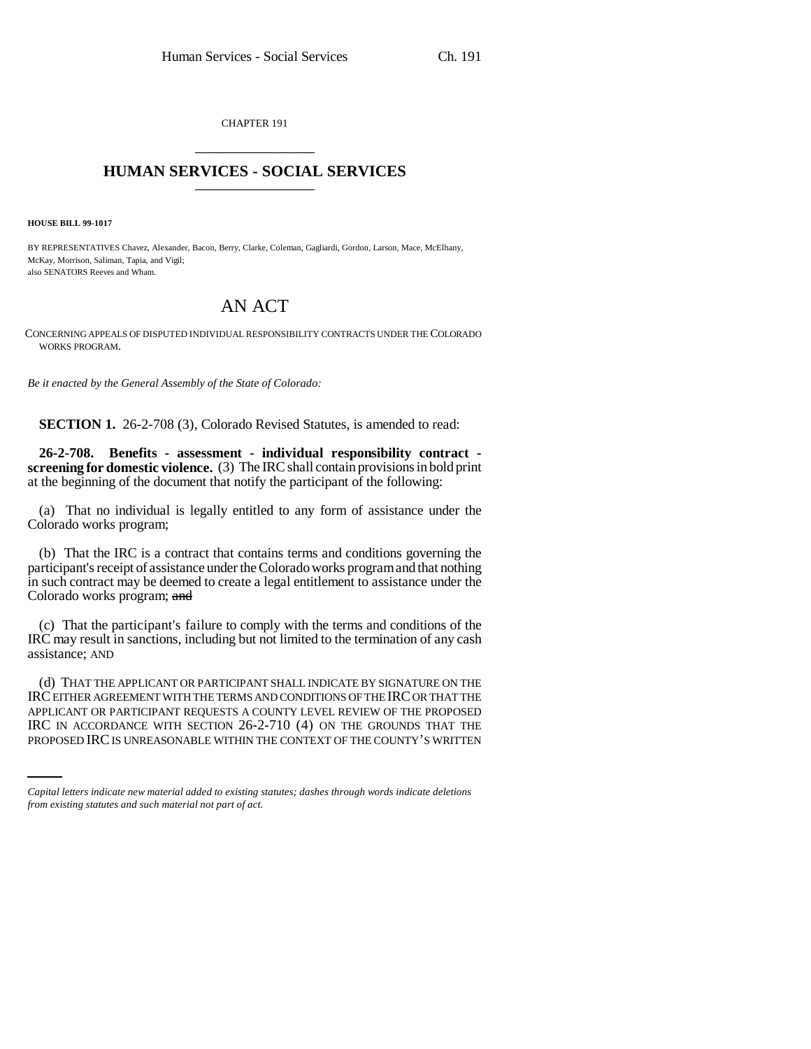CHAPTER 191 \_\_\_\_\_\_\_\_\_\_\_\_\_\_\_

## **HUMAN SERVICES - SOCIAL SERVICES** \_\_\_\_\_\_\_\_\_\_\_\_\_\_\_

**HOUSE BILL 99-1017** 

BY REPRESENTATIVES Chavez, Alexander, Bacon, Berry, Clarke, Coleman, Gagliardi, Gordon, Larson, Mace, McElhany, McKay, Morrison, Saliman, Tapia, and Vigil; also SENATORS Reeves and Wham.

## AN ACT

CONCERNING APPEALS OF DISPUTED INDIVIDUAL RESPONSIBILITY CONTRACTS UNDER THE COLORADO WORKS PROGRAM.

*Be it enacted by the General Assembly of the State of Colorado:*

**SECTION 1.** 26-2-708 (3), Colorado Revised Statutes, is amended to read:

**26-2-708. Benefits - assessment - individual responsibility contract screening for domestic violence.** (3) The IRC shall contain provisions in bold print at the beginning of the document that notify the participant of the following:

(a) That no individual is legally entitled to any form of assistance under the Colorado works program;

(b) That the IRC is a contract that contains terms and conditions governing the participant's receipt of assistance under the Colorado works program and that nothing in such contract may be deemed to create a legal entitlement to assistance under the Colorado works program; and

(c) That the participant's failure to comply with the terms and conditions of the IRC may result in sanctions, including but not limited to the termination of any cash assistance; AND

APPLICANT OR PARTICIPANT REQUESTS A COUNTY LEVEL REVIEW OF THE PROPOSED (d) THAT THE APPLICANT OR PARTICIPANT SHALL INDICATE BY SIGNATURE ON THE IRC EITHER AGREEMENT WITH THE TERMS AND CONDITIONS OF THE IRC OR THAT THE IRC IN ACCORDANCE WITH SECTION 26-2-710 (4) ON THE GROUNDS THAT THE PROPOSED IRC IS UNREASONABLE WITHIN THE CONTEXT OF THE COUNTY'S WRITTEN

*Capital letters indicate new material added to existing statutes; dashes through words indicate deletions from existing statutes and such material not part of act.*